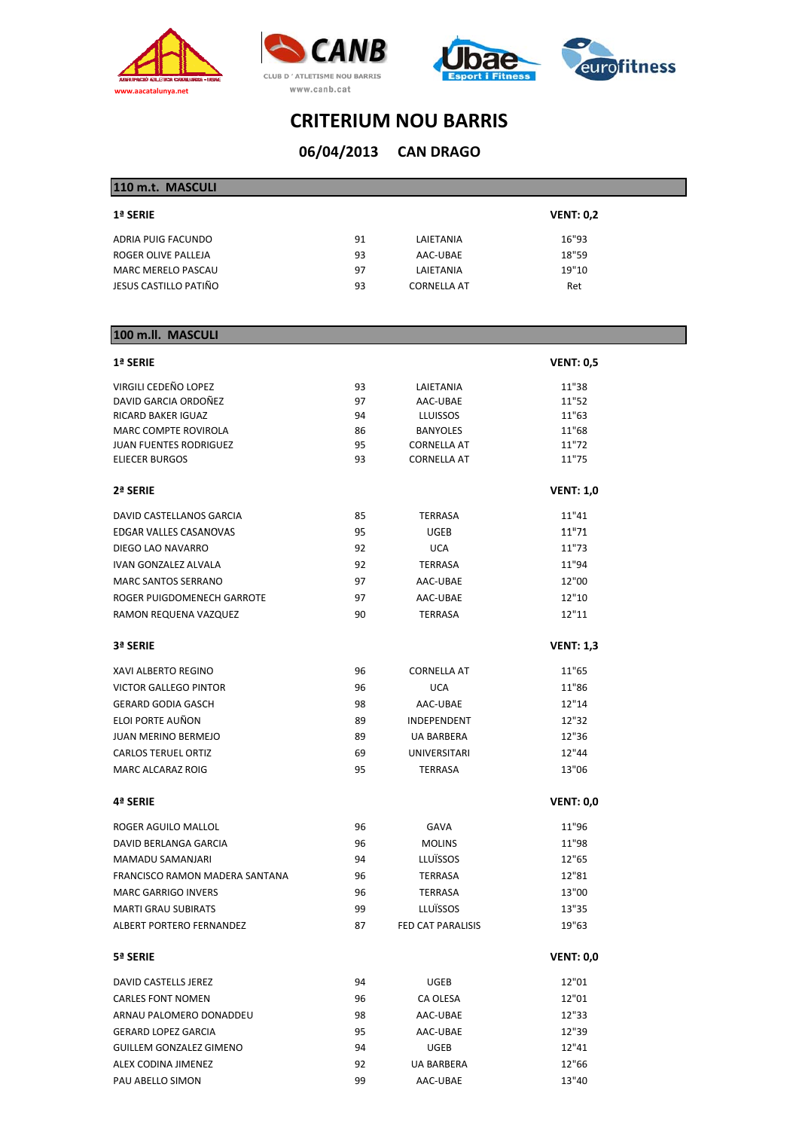







**CAN DRAGO 06/04/2013**

| 110 m.t. MASCULI          |    |                    |                  |
|---------------------------|----|--------------------|------------------|
| 1ª SERIE                  |    |                    | <b>VENT: 0,2</b> |
| ADRIA PUIG FACUNDO        | 91 | LAIETANIA          | 16"93            |
| ROGER OLIVE PALLEJA       | 93 | AAC-UBAE           | 18"59            |
| <b>MARC MERELO PASCAU</b> | 97 | LAIETANIA          | 19"10            |
| JESUS CASTILLO PATIÑO     | 93 | <b>CORNELLA AT</b> | Ret              |

### **100 m.ll. MASCULI**

| 1ª SERIE                       |    |                          | <b>VENT: 0,5</b> |
|--------------------------------|----|--------------------------|------------------|
| VIRGILI CEDEÑO LOPEZ           | 93 | LAIETANIA                | 11"38            |
| DAVID GARCIA ORDOÑEZ           | 97 | AAC-UBAE                 | 11"52            |
| <b>RICARD BAKER IGUAZ</b>      | 94 | <b>LLUISSOS</b>          | 11"63            |
| MARC COMPTE ROVIROLA           | 86 | <b>BANYOLES</b>          | 11"68            |
| <b>JUAN FUENTES RODRIGUEZ</b>  | 95 | <b>CORNELLA AT</b>       | 11"72            |
| ELIECER BURGOS                 | 93 | <b>CORNELLA AT</b>       | 11"75            |
| 2ª SERIE                       |    |                          | <b>VENT: 1,0</b> |
| DAVID CASTELLANOS GARCIA       | 85 | <b>TERRASA</b>           | 11"41            |
| EDGAR VALLES CASANOVAS         | 95 | UGEB                     | 11"71            |
| DIEGO LAO NAVARRO              | 92 | <b>UCA</b>               | 11"73            |
| <b>IVAN GONZALEZ ALVALA</b>    | 92 | <b>TERRASA</b>           | 11"94            |
| <b>MARC SANTOS SERRANO</b>     | 97 | AAC-UBAE                 | 12"00            |
| ROGER PUIGDOMENECH GARROTE     | 97 | AAC-UBAE                 | 12"10            |
| RAMON REQUENA VAZQUEZ          | 90 | <b>TERRASA</b>           | 12"11            |
| 3ª SERIE                       |    |                          | <b>VENT: 1,3</b> |
| XAVI ALBERTO REGINO            | 96 | <b>CORNELLA AT</b>       | 11"65            |
| <b>VICTOR GALLEGO PINTOR</b>   | 96 | <b>UCA</b>               | 11"86            |
| <b>GERARD GODIA GASCH</b>      | 98 | AAC-UBAE                 | 12"14            |
| ELOI PORTE AUÑON               | 89 | <b>INDEPENDENT</b>       | 12"32            |
| JUAN MERINO BERMEJO            | 89 | <b>UA BARBERA</b>        | 12"36            |
| <b>CARLOS TERUEL ORTIZ</b>     | 69 | <b>UNIVERSITARI</b>      | 12"44            |
| <b>MARC ALCARAZ ROIG</b>       | 95 | <b>TERRASA</b>           | 13"06            |
| 4ª SERIE                       |    |                          | <b>VENT: 0,0</b> |
| ROGER AGUILO MALLOL            | 96 | <b>GAVA</b>              | 11"96            |
| DAVID BERLANGA GARCIA          | 96 | <b>MOLINS</b>            | 11"98            |
| MAMADU SAMANJARI               | 94 | LLUÏSSOS                 | 12"65            |
| FRANCISCO RAMON MADERA SANTANA | 96 | <b>TERRASA</b>           | 12"81            |
| <b>MARC GARRIGO INVERS</b>     | 96 | <b>TERRASA</b>           | 13"00            |
| <b>MARTI GRAU SUBIRATS</b>     | 99 | LLUÏSSOS                 | 13"35            |
| ALBERT PORTERO FERNANDEZ       | 87 | <b>FED CAT PARALISIS</b> | 19"63            |
| 5ª SERIE                       |    |                          | <b>VENT: 0,0</b> |
| DAVID CASTELLS JEREZ           | 94 | UGEB                     | 12"01            |
| <b>CARLES FONT NOMEN</b>       | 96 | CA OLESA                 | 12"01            |
| ARNAU PALOMERO DONADDEU        | 98 | AAC-UBAE                 | 12"33            |
| <b>GERARD LOPEZ GARCIA</b>     | 95 | AAC-UBAE                 | 12"39            |
| <b>GUILLEM GONZALEZ GIMENO</b> | 94 | <b>UGEB</b>              | 12"41            |
| ALEX CODINA JIMENEZ            | 92 | UA BARBERA               | 12"66            |
| PAU ABELLO SIMON               | 99 | AAC-UBAE                 | 13"40            |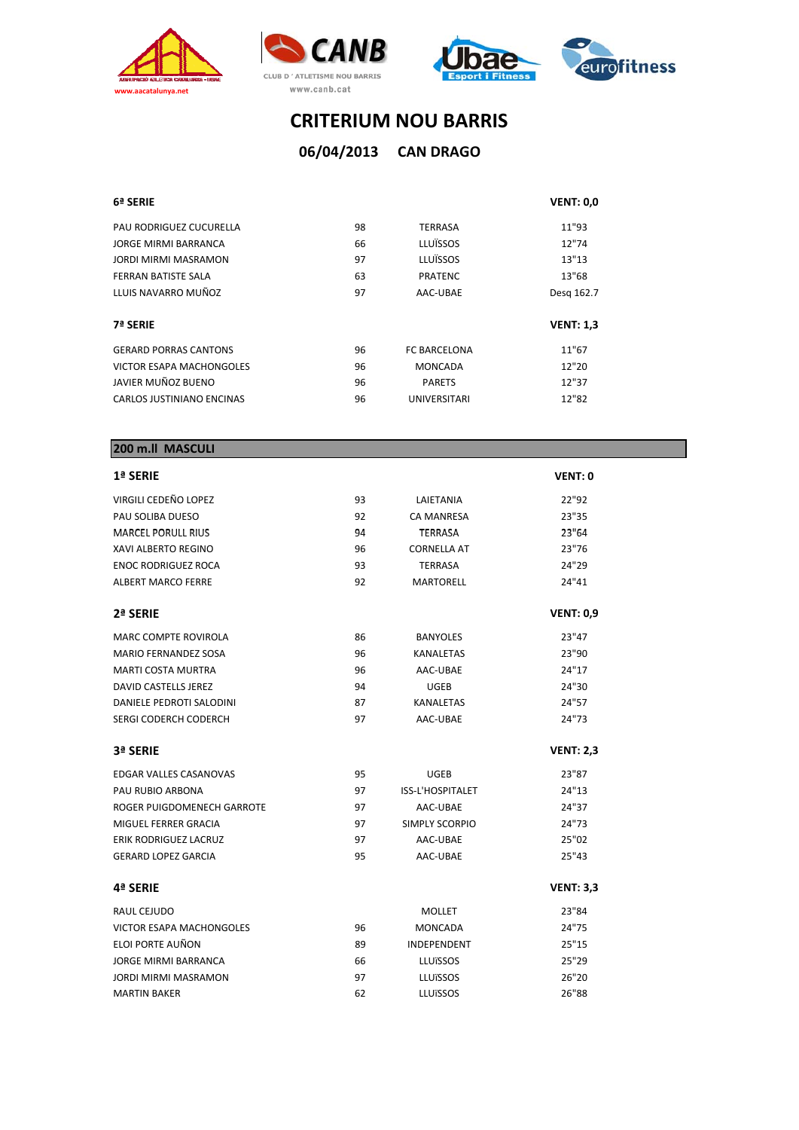







### **CAN DRAGO 06/04/2013**

| 6ª SERIE                        |    |                     | <b>VENT: 0,0</b> |
|---------------------------------|----|---------------------|------------------|
| PAU RODRIGUEZ CUCURELLA         | 98 | <b>TERRASA</b>      | 11"93            |
| JORGE MIRMI BARRANCA            | 66 | LLUÏSSOS            | 12"74            |
| JORDI MIRMI MASRAMON            | 97 | LLUÏSSOS            | 13"13            |
| FERRAN BATISTE SALA             | 63 | <b>PRATENC</b>      | 13"68            |
| LLUIS NAVARRO MUÑOZ             | 97 | AAC-UBAE            | Desg 162.7       |
| 7ª SERIE                        |    |                     | <b>VENT: 1,3</b> |
| <b>GERARD PORRAS CANTONS</b>    | 96 | <b>FC BARCELONA</b> | 11"67            |
| <b>VICTOR ESAPA MACHONGOLES</b> | 96 | <b>MONCADA</b>      | 12"20            |
| JAVIER MUÑOZ BUENO              | 96 | <b>PARETS</b>       | 12"37            |
| CARLOS JUSTINIANO ENCINAS       | 96 | <b>UNIVERSITARI</b> | 12"82            |
|                                 |    |                     |                  |

| 200 m.ll MASCULI              |    |                       |                    |
|-------------------------------|----|-----------------------|--------------------|
| 1ª SERIE                      |    |                       | <b>VENT: 0</b>     |
| VIRGILI CEDEÑO LOPEZ          | 93 | LAIETANIA             | 22"92              |
| PAU SOLIBA DUESO              | 92 | <b>CA MANRESA</b>     | 23"35              |
| <b>MARCEL PORULL RIUS</b>     | 94 | <b>TERRASA</b>        | 23"64              |
| XAVI ALBERTO REGINO           | 96 | <b>CORNELLA AT</b>    | 23"76              |
| <b>ENOC RODRIGUEZ ROCA</b>    | 93 | <b>TERRASA</b>        | 24"29              |
| <b>ALBERT MARCO FERRE</b>     | 92 | <b>MARTORELL</b>      | 24"41              |
| 2ª SERIE                      |    |                       | <b>VENT: 0,9</b>   |
| <b>MARC COMPTE ROVIROLA</b>   | 86 | <b>BANYOLES</b>       | 23"47              |
| <b>MARIO FERNANDEZ SOSA</b>   | 96 | <b>KANALETAS</b>      | 23"90              |
| <b>MARTI COSTA MURTRA</b>     | 96 | AAC-UBAE              | 24"17              |
| <b>DAVID CASTELLS JEREZ</b>   | 94 | <b>UGEB</b>           | 24"30              |
| DANIELE PEDROTI SALODINI      | 87 | <b>KANALETAS</b>      | 24"57              |
| SERGI CODERCH CODERCH         | 97 | AAC-UBAE              | 24"73              |
| 3ª SERIE                      |    |                       | <b>VENT: 2,3</b>   |
| <b>EDGAR VALLES CASANOVAS</b> | 95 | <b>UGEB</b>           | 23"87              |
| PAU RUBIO ARBONA              | 97 | ISS-L'HOSPITALET      | 24"13              |
| ROGER PUIGDOMENECH GARROTE    | 97 | AAC-UBAE              | 24"37              |
| MIGUEL FERRER GRACIA          | 97 | <b>SIMPLY SCORPIO</b> | 24"73              |
| <b>ERIK RODRIGUEZ LACRUZ</b>  | 97 | AAC-UBAE              | 25"02              |
| <b>GERARD LOPEZ GARCIA</b>    | 95 | AAC-UBAE              | 25"43              |
| 4ª SERIE                      |    |                       | <b>VENT: 3,3</b>   |
|                               |    |                       | $-$ <b>11</b> $ -$ |

| RAUL CEJUDO              |    | MOLLET             | 23"84 |
|--------------------------|----|--------------------|-------|
| VICTOR ESAPA MACHONGOLES | 96 | MONCADA            | 24"75 |
| ELOI PORTE AUÑON         | 89 | <b>INDEPENDENT</b> | 25"15 |
| JORGE MIRMI BARRANCA     | 66 | LLUïSSOS           | 25"29 |
| JORDI MIRMI MASRAMON     | 97 | LLUïSSOS           | 26"20 |
| MARTIN BAKER             | 62 | LLUïSSOS           | 26"88 |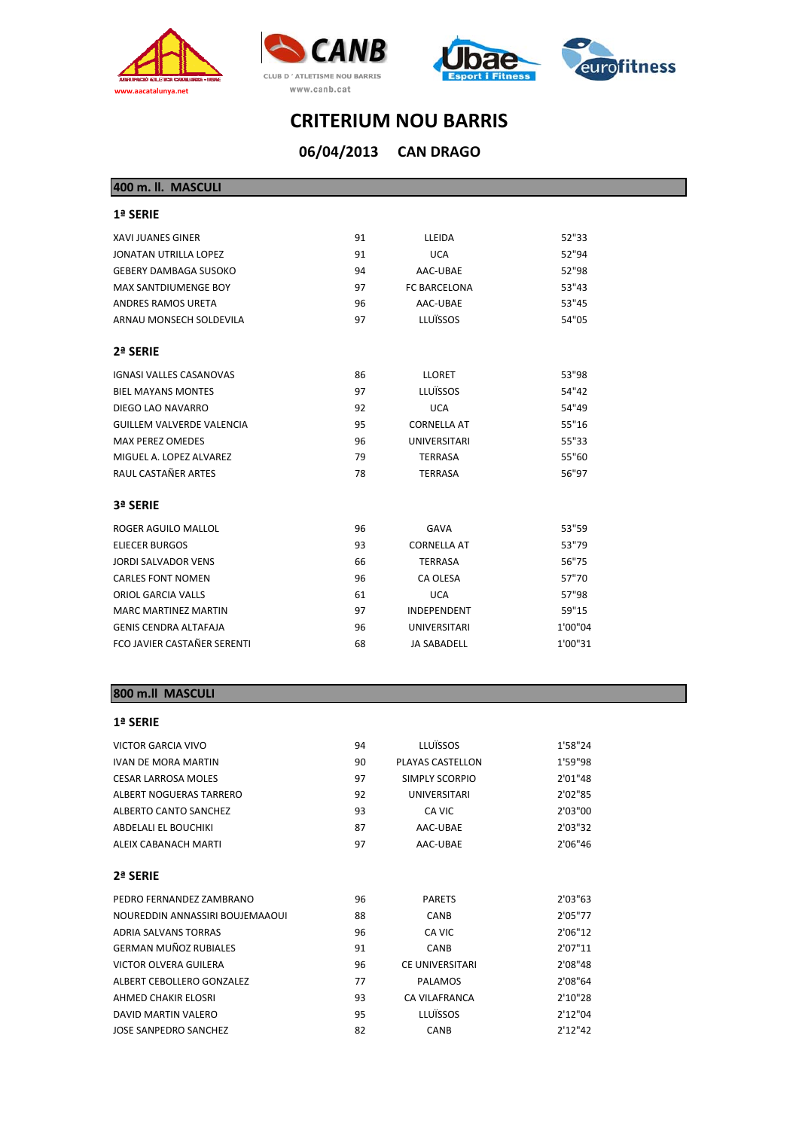







**CAN DRAGO 06/04/2013**

**400 m. ll. MASCULI**

| 1ª SERIE                           |    |                     |         |
|------------------------------------|----|---------------------|---------|
| <b>XAVI JUANES GINER</b>           | 91 | LLEIDA              | 52"33   |
| JONATAN UTRILLA LOPEZ              | 91 | <b>UCA</b>          | 52"94   |
| <b>GEBERY DAMBAGA SUSOKO</b>       | 94 | AAC-UBAE            | 52"98   |
| MAX SANTDIUMENGE BOY               | 97 | <b>FC BARCELONA</b> | 53"43   |
| ANDRES RAMOS URETA                 | 96 | AAC-UBAE            | 53"45   |
| ARNAU MONSECH SOLDEVILA            | 97 | LLUÏSSOS            | 54"05   |
| 2ª SERIE                           |    |                     |         |
| <b>IGNASI VALLES CASANOVAS</b>     | 86 | <b>LLORET</b>       | 53"98   |
| <b>BIEL MAYANS MONTES</b>          | 97 | LLUÏSSOS            | 54"42   |
| DIEGO LAO NAVARRO                  | 92 | <b>UCA</b>          | 54"49   |
| <b>GUILLEM VALVERDE VALENCIA</b>   | 95 | <b>CORNELLA AT</b>  | 55"16   |
| <b>MAX PEREZ OMEDES</b>            | 96 | <b>UNIVERSITARI</b> | 55"33   |
| MIGUEL A. LOPEZ ALVAREZ            | 79 | <b>TERRASA</b>      | 55"60   |
| RAUL CASTAÑER ARTES                | 78 | <b>TERRASA</b>      | 56"97   |
| 3ª SERIE                           |    |                     |         |
| ROGER AGUILO MALLOL                | 96 | GAVA                | 53"59   |
| <b>ELIECER BURGOS</b>              | 93 | <b>CORNELLA AT</b>  | 53"79   |
| JORDI SALVADOR VENS                | 66 | <b>TERRASA</b>      | 56"75   |
| <b>CARLES FONT NOMEN</b>           | 96 | CA OLESA            | 57"70   |
| ORIOL GARCIA VALLS                 | 61 | <b>UCA</b>          | 57"98   |
| <b>MARC MARTINEZ MARTIN</b>        | 97 | <b>INDEPENDENT</b>  | 59"15   |
| <b>GENIS CENDRA ALTAFAJA</b>       | 96 | <b>UNIVERSITARI</b> | 1'00"04 |
| <b>FCO JAVIER CASTAÑER SERENTI</b> | 68 | <b>JA SABADELL</b>  | 1'00"31 |

#### **800 m.ll MASCULI**

#### **1ª SERIE**

| VICTOR GARCIA VIVO              | 94 | <b>LLUÏSSOS</b>        | 1'58"24  |
|---------------------------------|----|------------------------|----------|
| <b>IVAN DE MORA MARTIN</b>      | 90 | PLAYAS CASTELLON       | 1'59"98  |
| <b>CESAR LARROSA MOLES</b>      | 97 | SIMPLY SCORPIO         | 2'01"48  |
| ALBERT NOGUERAS TARRERO         | 92 | UNIVERSITARI           | 2'02"85  |
| ALBERTO CANTO SANCHEZ           | 93 | CA VIC                 | 2'03"00  |
| <b>ABDELALI EL BOUCHIKI</b>     | 87 | AAC-UBAE               | 2'03"32  |
| ALEIX CABANACH MARTI            | 97 | AAC-UBAE               | 2'06"46  |
| 2ª SERIE                        |    |                        |          |
| PEDRO FERNANDEZ ZAMBRANO        | 96 | <b>PARETS</b>          | 2'03"63  |
| NOUREDDIN ANNASSIRI BOUJEMAAOUI | 88 | <b>CANB</b>            | 2'05"77  |
| <b>ADRIA SALVANS TORRAS</b>     | 96 | CA VIC                 | 2'06"12  |
| <b>GERMAN MUÑOZ RUBIALES</b>    | 91 | CANB                   | 2'07"11  |
| <b>VICTOR OLVERA GUILERA</b>    | 96 | <b>CE UNIVERSITARI</b> | 2'08"48  |
| ALBERT CEBOLLERO GONZALEZ       | 77 | PALAMOS                | 2'08"64  |
| AHMED CHAKIR ELOSRI             | 93 | CA VILAFRANCA          | 2'10"28  |
| DAVID MARTIN VALERO             | 95 | <b>LLUÏSSOS</b>        | 2'12''04 |
|                                 |    |                        |          |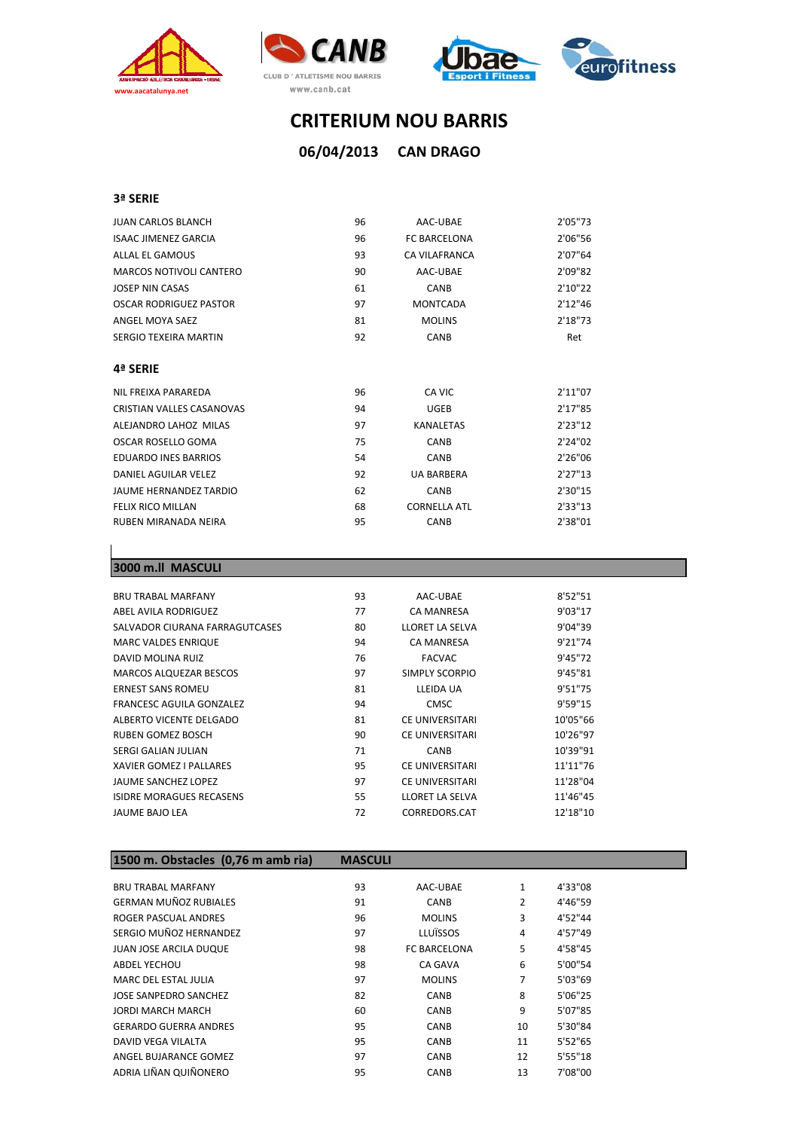







#### **3ª SERIE**

| <b>JUAN CARLOS BLANCH</b>      | 96 | AAC-UBAE            | 2'05"73 |
|--------------------------------|----|---------------------|---------|
| <b>ISAAC JIMENEZ GARCIA</b>    | 96 | <b>FC BARCELONA</b> | 2'06"56 |
| ALLAL EL GAMOUS                | 93 | CA VILAFRANCA       | 2'07"64 |
| <b>MARCOS NOTIVOLI CANTERO</b> | 90 | AAC-UBAE            | 2'09"82 |
| <b>JOSEP NIN CASAS</b>         | 61 | <b>CANB</b>         | 2'10"22 |
| <b>OSCAR RODRIGUEZ PASTOR</b>  | 97 | <b>MONTCADA</b>     | 2'12"46 |
| ANGEL MOYA SAEZ                | 81 | <b>MOLINS</b>       | 2'18"73 |
| <b>SERGIO TEXEIRA MARTIN</b>   | 92 | <b>CANB</b>         | Ret     |
|                                |    |                     |         |
| 4ª SERIE                       |    |                     |         |
| NIL FREIXA PARAREDA            | 96 | CA VIC              | 2'11"07 |
| CRISTIAN VALLES CASANOVAS      | 94 | <b>UGEB</b>         | 2'17"85 |
| ALEJANDRO LAHOZ MILAS          | 97 | <b>KANALETAS</b>    | 2'23"12 |
| OSCAR ROSELLO GOMA             | 75 | <b>CANB</b>         | 2'24"02 |
| <b>EDUARDO INES BARRIOS</b>    | 54 | <b>CANB</b>         | 2'26"06 |
| DANIEL AGUILAR VELEZ           | 92 | <b>UA BARBERA</b>   | 2'27"13 |
| JAUME HERNANDEZ TARDIO         | 62 | <b>CANB</b>         | 2'30"15 |
| <b>FELIX RICO MILLAN</b>       | 68 | <b>CORNELLA ATL</b> | 2'33"13 |
| RUBEN MIRANADA NEIRA           | 95 | CANB                | 2'38"01 |

#### **3000 m.ll MASCULI**

| <b>BRU TRABAL MARFANY</b>       | 93 | AAC-UBAE               | 8'52"51  |  |
|---------------------------------|----|------------------------|----------|--|
| ABEL AVILA RODRIGUEZ            | 77 | CA MANRESA             | 9'03"17  |  |
| SALVADOR CIURANA FARRAGUTCASES  | 80 | LLORET LA SELVA        | 9'04"39  |  |
| <b>MARC VALDES ENRIQUE</b>      | 94 | <b>CA MANRESA</b>      | 9'21"74  |  |
| DAVID MOLINA RUIZ               | 76 | <b>FACVAC</b>          | 9'45"72  |  |
| <b>MARCOS ALQUEZAR BESCOS</b>   | 97 | SIMPLY SCORPIO         | 9'45"81  |  |
| <b>ERNEST SANS ROMEU</b>        | 81 | LLEIDA UA              | 9'51"75  |  |
| FRANCESC AGUILA GONZALEZ        | 94 | <b>CMSC</b>            | 9'59"15  |  |
| ALBERTO VICENTE DELGADO         | 81 | CE UNIVERSITARI        | 10'05"66 |  |
| RUBEN GOMEZ BOSCH               | 90 | <b>CE UNIVERSITARI</b> | 10'26"97 |  |
| SERGI GALIAN JULIAN             | 71 | CANB                   | 10'39"91 |  |
| XAVIER GOMEZ I PALLARES         | 95 | CE UNIVERSITARI        | 11'11"76 |  |
| JAUME SANCHEZ LOPEZ             | 97 | CE UNIVERSITARI        | 11'28"04 |  |
| <b>ISIDRE MORAGUES RECASENS</b> | 55 | LLORET LA SELVA        | 11'46"45 |  |
| JAUME BAJO LEA                  | 72 | CORREDORS.CAT          | 12'18"10 |  |
|                                 |    |                        |          |  |

## **1500 m. Obstacles (0,76 m amb ria) MASCULI**

| <b>BRU TRABAL MARFANY</b>     | 93 | AAC-UBAE            | $\mathbf{1}$ | 4'33"08  |
|-------------------------------|----|---------------------|--------------|----------|
| <b>GERMAN MUÑOZ RUBIALES</b>  | 91 | <b>CANB</b>         | 2            | 4'46"59  |
| ROGER PASCUAL ANDRES          | 96 | <b>MOLINS</b>       | 3            | 4'52"44  |
| SERGIO MUÑOZ HERNANDEZ        | 97 | LLUÏSSOS            | 4            | 4'57"49  |
| <b>JUAN JOSE ARCILA DUQUE</b> | 98 | <b>FC BARCELONA</b> | 5            | 4'58"45  |
| <b>ABDEL YECHOU</b>           | 98 | <b>CA GAVA</b>      | 6            | 5'00"54  |
| <b>MARC DEL ESTAL JULIA</b>   | 97 | <b>MOLINS</b>       | 7            | 5'03"69  |
| JOSE SANPEDRO SANCHEZ         | 82 | <b>CANB</b>         | 8            | 5'06"25  |
| <b>JORDI MARCH MARCH</b>      | 60 | CANB                | 9            | 5'07"85  |
| <b>GERARDO GUERRA ANDRES</b>  | 95 | <b>CANB</b>         | 10           | 5'30"84  |
| DAVID VEGA VILALTA            | 95 | CANB                | 11           | 5'52"65  |
| ANGEL BUJARANCE GOMEZ         | 97 | <b>CANB</b>         | 12           | 5'55''18 |
| ADRIA LIÑAN QUIÑONERO         | 95 | CANB                | 13           | 7'08"00  |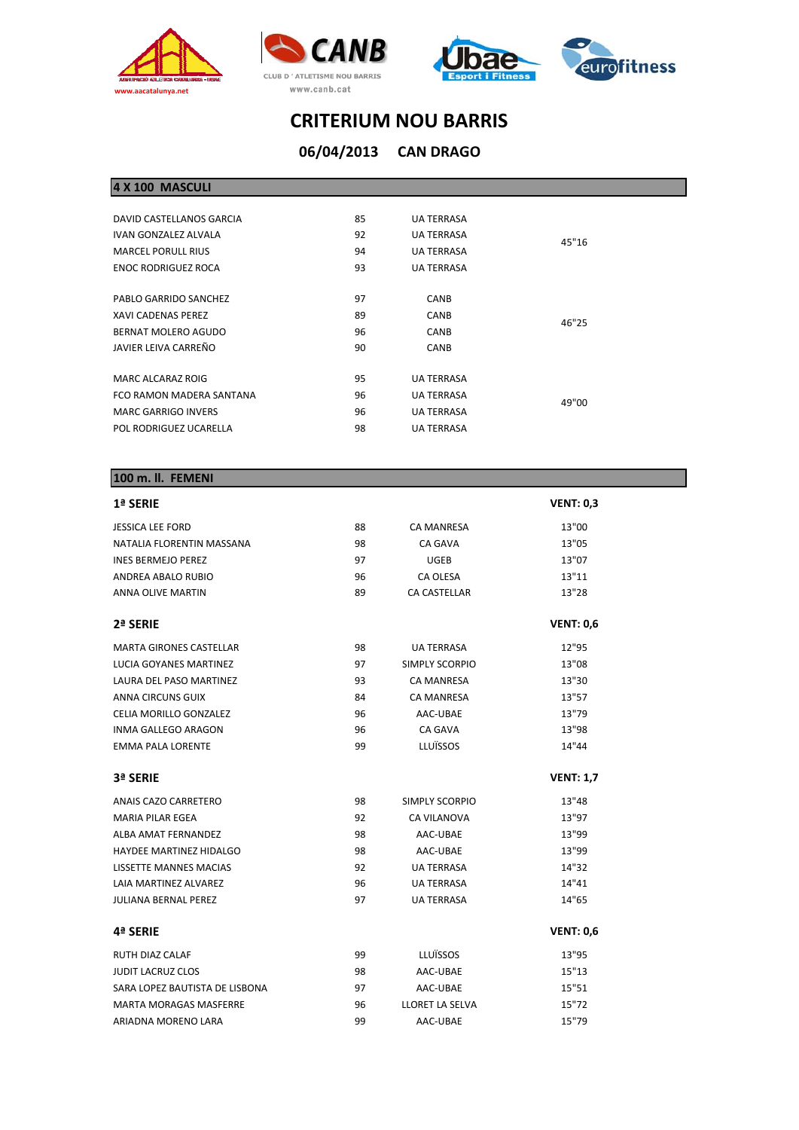







## **CAN DRAGO 06/04/2013**

| DAVID CASTELLANOS GARCIA   | 85 | <b>UA TERRASA</b> |       |  |
|----------------------------|----|-------------------|-------|--|
| IVAN GONZALEZ ALVALA       | 92 | <b>UA TERRASA</b> | 45"16 |  |
| <b>MARCEL PORULL RIUS</b>  | 94 | <b>UA TERRASA</b> |       |  |
| <b>ENOC RODRIGUEZ ROCA</b> | 93 | <b>UA TERRASA</b> |       |  |
|                            |    |                   |       |  |
| PABLO GARRIDO SANCHEZ      | 97 | <b>CANB</b>       |       |  |
| XAVI CADENAS PEREZ         | 89 | <b>CANB</b>       | 46"25 |  |
| BERNAT MOLERO AGUDO        | 96 | <b>CANB</b>       |       |  |
| JAVIER LEIVA CARREÑO       | 90 | <b>CANB</b>       |       |  |
|                            |    |                   |       |  |
| MARC ALCARAZ ROIG          | 95 | <b>UA TERRASA</b> |       |  |
| FCO RAMON MADERA SANTANA   | 96 | <b>UA TERRASA</b> | 49"00 |  |
| <b>MARC GARRIGO INVERS</b> | 96 | <b>UA TERRASA</b> |       |  |
| POL RODRIGUEZ UCARELLA     | 98 | <b>UA TERRASA</b> |       |  |
|                            |    |                   |       |  |

#### **100 m. ll. FEMENI**

| 1ª SERIE                       |    |                       | <b>VENT: 0,3</b> |
|--------------------------------|----|-----------------------|------------------|
| <b>JESSICA LEE FORD</b>        | 88 | <b>CA MANRESA</b>     | 13"00            |
| NATALIA FLORENTIN MASSANA      | 98 | <b>CA GAVA</b>        | 13"05            |
| <b>INES BERMEJO PEREZ</b>      | 97 | <b>UGEB</b>           | 13"07            |
| ANDREA ABALO RUBIO             | 96 | CA OLESA              | 13"11            |
| <b>ANNA OLIVE MARTIN</b>       | 89 | CA CASTELLAR          | 13"28            |
| 2ª SERIE                       |    |                       | <b>VENT: 0,6</b> |
| <b>MARTA GIRONES CASTELLAR</b> | 98 | <b>UA TERRASA</b>     | 12"95            |
| LUCIA GOYANES MARTINEZ         | 97 | <b>SIMPLY SCORPIO</b> | 13"08            |
| LAURA DEL PASO MARTINEZ        | 93 | <b>CA MANRESA</b>     | 13"30            |
| ANNA CIRCUNS GUIX              | 84 | <b>CA MANRESA</b>     | 13"57            |
| CELIA MORILLO GONZALEZ         | 96 | AAC-UBAE              | 13"79            |
| <b>INMA GALLEGO ARAGON</b>     | 96 | <b>CA GAVA</b>        | 13"98            |
| <b>EMMA PALA LORENTE</b>       | 99 | LLUÏSSOS              | 14"44            |
| 3ª SERIE                       |    |                       | <b>VENT: 1,7</b> |
| ANAIS CAZO CARRETERO           | 98 | <b>SIMPLY SCORPIO</b> | 13"48            |
| <b>MARIA PILAR EGEA</b>        | 92 | <b>CA VILANOVA</b>    | 13"97            |
| ALBA AMAT FERNANDEZ            | 98 | AAC-UBAE              | 13"99            |
| <b>HAYDEE MARTINEZ HIDALGO</b> | 98 | AAC-UBAE              | 13"99            |
| <b>LISSETTE MANNES MACIAS</b>  | 92 | <b>UA TERRASA</b>     | 14"32            |
| LAIA MARTINEZ ALVAREZ          | 96 | <b>UA TERRASA</b>     | 14"41            |
| <b>JULIANA BERNAL PEREZ</b>    | 97 | <b>UA TERRASA</b>     | 14"65            |
| 4ª SERIE                       |    |                       | <b>VENT: 0,6</b> |
| RUTH DIAZ CALAF                | 99 | LLUÏSSOS              | 13"95            |
| <b>JUDIT LACRUZ CLOS</b>       | 98 | AAC-UBAE              | 15"13            |
| SARA LOPEZ BAUTISTA DE LISBONA | 97 | AAC-UBAE              | 15"51            |
| <b>MARTA MORAGAS MASFERRE</b>  | 96 | LLORET LA SELVA       | 15"72            |
| ARIADNA MORENO LARA            | 99 | AAC-UBAE              | 15"79            |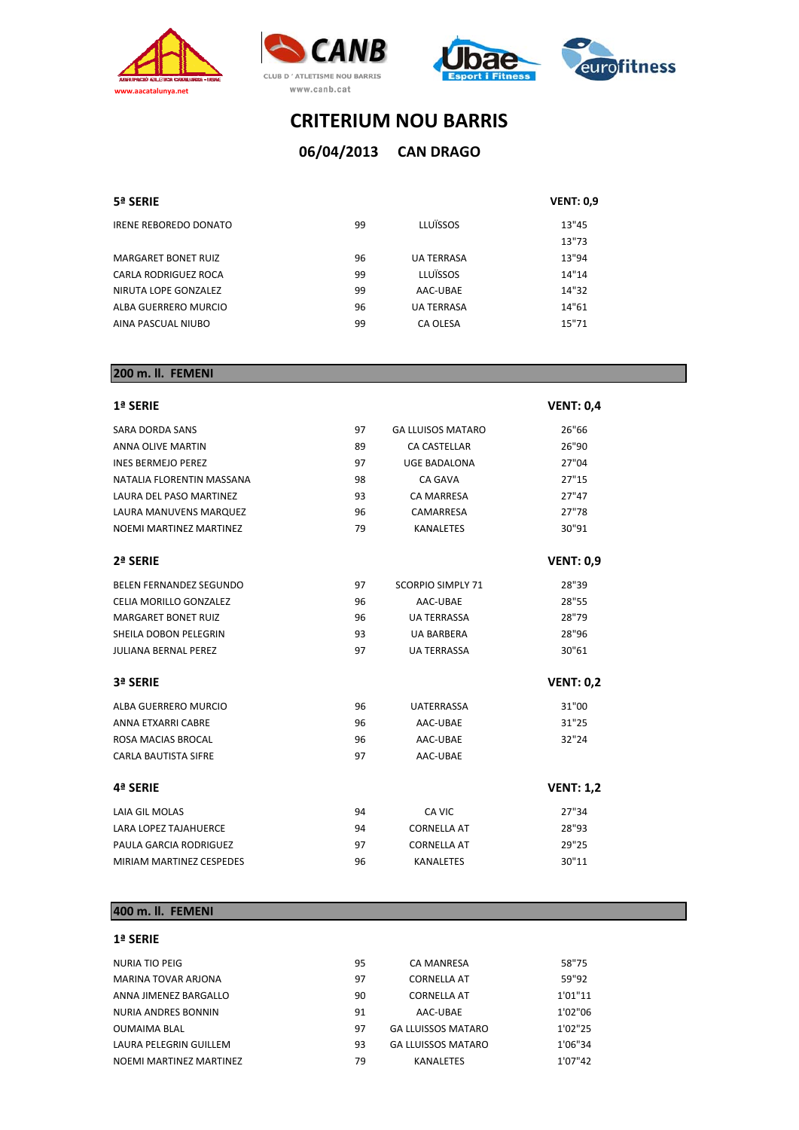







## **CAN DRAGO 06/04/2013**

#### **5ª SERIE VENT: 0,9**

| IRENE REBOREDO DONATO | 99 | LLUÏSSOS          | 13"45 |
|-----------------------|----|-------------------|-------|
|                       |    |                   | 13"73 |
| MARGARET BONET RUIZ   | 96 | <b>UA TERRASA</b> | 13"94 |
| CARLA RODRIGUEZ ROCA  | 99 | LLUÏSSOS          | 14"14 |
| NIRUTA LOPE GONZALEZ  | 99 | AAC-UBAE          | 14"32 |
| ALBA GUERRERO MURCIO  | 96 | <b>UA TERRASA</b> | 14"61 |
| AINA PASCUAL NIUBO    | 99 | CA OLESA          | 15"71 |

| 200 m. ll. FEMENI              |    |                          |                  |
|--------------------------------|----|--------------------------|------------------|
| 1ª SERIE                       |    |                          | <b>VENT: 0,4</b> |
| SARA DORDA SANS                | 97 | <b>GA LLUISOS MATARO</b> | 26"66            |
| <b>ANNA OLIVE MARTIN</b>       | 89 | <b>CA CASTELLAR</b>      | 26"90            |
| <b>INES BERMEJO PEREZ</b>      | 97 | UGE BADALONA             | 27"04            |
| NATALIA FLORENTIN MASSANA      | 98 | <b>CA GAVA</b>           | 27"15            |
| LAURA DEL PASO MARTINEZ        | 93 | <b>CA MARRESA</b>        | 27"47            |
| <b>LAURA MANUVENS MARQUEZ</b>  | 96 | CAMARRESA                | 27"78            |
| NOEMI MARTINEZ MARTINEZ        | 79 | <b>KANALETES</b>         | 30"91            |
| 2ª SERIE                       |    |                          | <b>VENT: 0,9</b> |
| <b>BELEN FERNANDEZ SEGUNDO</b> | 97 | <b>SCORPIO SIMPLY 71</b> | 28"39            |
| CELIA MORILLO GONZALEZ         | 96 | AAC-UBAE                 | 28"55            |
| <b>MARGARET BONET RUIZ</b>     | 96 | <b>UA TERRASSA</b>       | 28"79            |
| SHEILA DOBON PELEGRIN          | 93 | <b>UA BARBERA</b>        | 28"96            |
| <b>JULIANA BERNAL PEREZ</b>    | 97 | <b>UA TERRASSA</b>       | 30"61            |
| 3ª SERIE                       |    |                          | <b>VENT: 0,2</b> |
| <b>ALBA GUERRERO MURCIO</b>    | 96 | <b>UATERRASSA</b>        | 31"00            |
| ANNA ETXARRI CABRE             | 96 | AAC-UBAE                 | 31"25            |
| ROSA MACIAS BROCAL             | 96 | AAC-UBAE                 | 32"24            |
| <b>CARLA BAUTISTA SIFRE</b>    | 97 | AAC-UBAE                 |                  |
| 4ª SERIE                       |    |                          | <b>VENT: 1,2</b> |
| LAIA GIL MOLAS                 | 94 | CA VIC                   | 27"34            |
| <b>LARA LOPEZ TAJAHUERCE</b>   | 94 | <b>CORNELLA AT</b>       | 28"93            |
| PAULA GARCIA RODRIGUEZ         | 97 | <b>CORNELLA AT</b>       | 29"25            |
| MIRIAM MARTINEZ CESPEDES       | 96 | <b>KANALETES</b>         | 30"11            |

### **400 m. ll. FEMENI**

#### **1ª SERIE**

| NURIA TIO PEIG          | 95 | CA MANRESA                | 58"75   |
|-------------------------|----|---------------------------|---------|
| MARINA TOVAR ARJONA     | 97 | <b>CORNELLA AT</b>        | 59"92   |
| ANNA JIMENEZ BARGALLO   | 90 | <b>CORNELLA AT</b>        | 1'01"11 |
| NURIA ANDRES BONNIN     | 91 | AAC-UBAE                  | 1'02"06 |
| <b>OUMAIMA BLAL</b>     | 97 | <b>GA LLUISSOS MATARO</b> | 1'02"25 |
| LAURA PELEGRIN GUILLEM  | 93 | <b>GA LLUISSOS MATARO</b> | 1'06"34 |
| NOEMI MARTINEZ MARTINEZ | 79 | <b>KANALETES</b>          | 1'07"42 |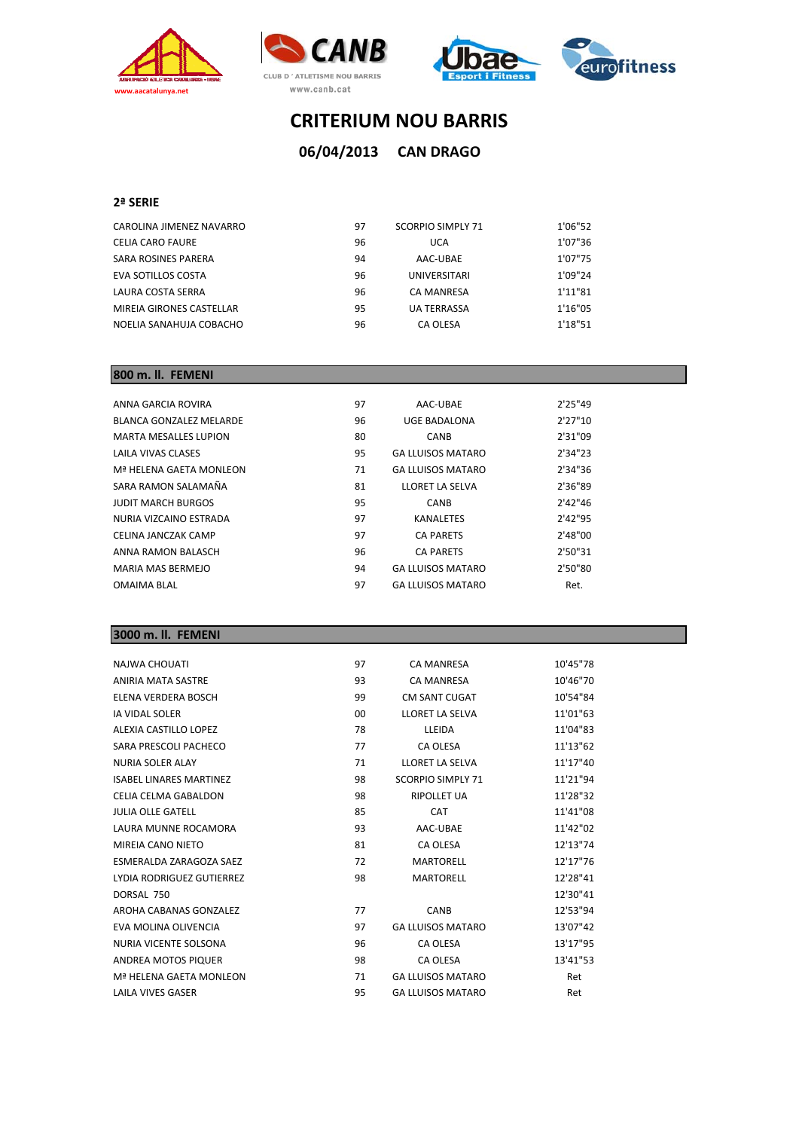







**CAN DRAGO 06/04/2013**

#### **2ª SERIE**

| CAROLINA JIMENEZ NAVARRO | 97 | <b>SCORPIO SIMPLY 71</b> | 1'06"52 |
|--------------------------|----|--------------------------|---------|
| CELIA CARO FAURE         | 96 | UCA                      | 1'07"36 |
| SARA ROSINES PARERA      | 94 | AAC-UBAE                 | 1'07"75 |
| EVA SOTILLOS COSTA       | 96 | <b>UNIVERSITARI</b>      | 1'09"24 |
| LAURA COSTA SERRA        | 96 | <b>CA MANRESA</b>        | 1'11"81 |
| MIREIA GIRONES CASTELLAR | 95 | <b>UA TERRASSA</b>       | 1'16"05 |
| NOELIA SANAHUJA COBACHO  | 96 | CA OLESA                 | 1'18"51 |

#### **800 m. ll. FEMENI**

| ANNA GARCIA ROVIRA           | 97 | AAC-UBAE                 | 2'25''49 |
|------------------------------|----|--------------------------|----------|
| BLANCA GONZALEZ MELARDE      | 96 | UGE BADALONA             | 2'27"10  |
| <b>MARTA MESALLES LUPION</b> | 80 | <b>CANB</b>              | 2'31"09  |
| LAILA VIVAS CLASES           | 95 | <b>GA LLUISOS MATARO</b> | 2'34"23  |
| Mª HELENA GAETA MONLEON      | 71 | <b>GA LLUISOS MATARO</b> | 2'34"36  |
| SARA RAMON SALAMAÑA          | 81 | LLORET LA SELVA          | 2'36"89  |
| <b>JUDIT MARCH BURGOS</b>    | 95 | <b>CANB</b>              | 2'42"46  |
| NURIA VIZCAINO ESTRADA       | 97 | <b>KANALETES</b>         | 2'42"95  |
| CELINA JANCZAK CAMP          | 97 | <b>CA PARETS</b>         | 2'48"00  |
| ANNA RAMON BALASCH           | 96 | <b>CA PARETS</b>         | 2'50"31  |
| MARIA MAS BERMEJO            | 94 | <b>GA LLUISOS MATARO</b> | 2'50"80  |
| <b>OMAIMA BLAL</b>           | 97 | <b>GA LLUISOS MATARO</b> | Ret.     |
|                              |    |                          |          |

### **3000 m. ll. FEMENI**

| <b>NAJWA CHOUATI</b>           | 97 | <b>CA MANRESA</b>        | 10'45"78 |
|--------------------------------|----|--------------------------|----------|
| <b>ANIRIA MATA SASTRE</b>      | 93 | <b>CA MANRESA</b>        | 10'46"70 |
| ELENA VERDERA BOSCH            | 99 | <b>CM SANT CUGAT</b>     | 10'54"84 |
| <b>IA VIDAL SOLER</b>          | 00 | LLORET LA SELVA          | 11'01"63 |
| ALEXIA CASTILLO LOPEZ          | 78 | LLEIDA                   | 11'04"83 |
| SARA PRESCOLI PACHECO          | 77 | CA OLESA                 | 11'13"62 |
| NURIA SOLER ALAY               | 71 | LLORET LA SELVA          | 11'17"40 |
| <b>ISABEL LINARES MARTINEZ</b> | 98 | <b>SCORPIO SIMPLY 71</b> | 11'21"94 |
| CELIA CELMA GABALDON           | 98 | <b>RIPOLLET UA</b>       | 11'28"32 |
| <b>JULIA OLLE GATELL</b>       | 85 | CAT                      | 11'41"08 |
| LAURA MUNNE ROCAMORA           | 93 | AAC-UBAE                 | 11'42"02 |
| MIREIA CANO NIETO              | 81 | CA OLESA                 | 12'13"74 |
| ESMERALDA ZARAGOZA SAEZ        | 72 | <b>MARTORELL</b>         | 12'17"76 |
| LYDIA RODRIGUEZ GUTIERREZ      | 98 | <b>MARTORELL</b>         | 12'28"41 |
| DORSAL 750                     |    |                          | 12'30"41 |
| AROHA CABANAS GONZALEZ         | 77 | <b>CANB</b>              | 12'53"94 |
| EVA MOLINA OLIVENCIA           | 97 | <b>GA LLUISOS MATARO</b> | 13'07"42 |
| NURIA VICENTE SOLSONA          | 96 | CA OLESA                 | 13'17"95 |
| <b>ANDREA MOTOS PIQUER</b>     | 98 | <b>CA OLESA</b>          | 13'41"53 |
| Mª HELENA GAETA MONLEON        | 71 | <b>GA LLUISOS MATARO</b> | Ret      |
| <b>LAILA VIVES GASER</b>       | 95 | <b>GA LLUISOS MATARO</b> | Ret      |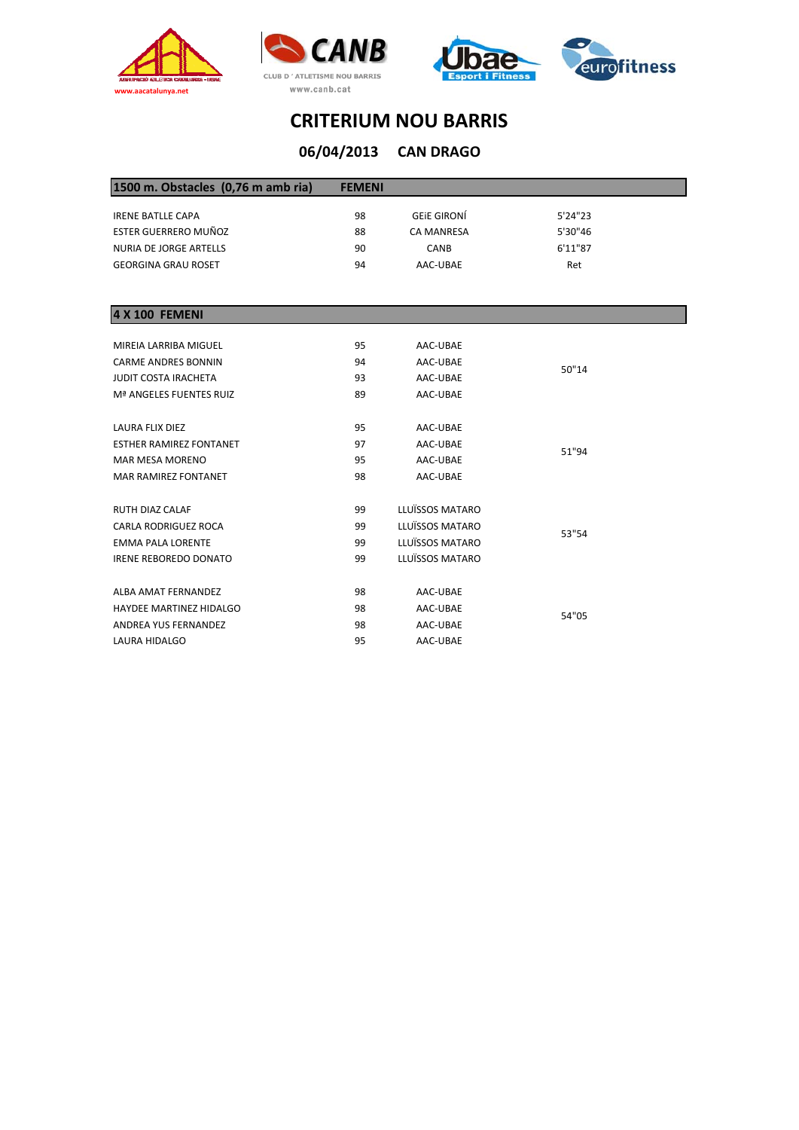







# **CRITERIUM NOU BARRIS**

| 06/04/2013    | <b>CAN DRAGO</b>   |         |  |
|---------------|--------------------|---------|--|
| <b>FEMENI</b> |                    |         |  |
| 98            | <b>GEIE GIRONÍ</b> | 5'24"23 |  |
| 88            | <b>CA MANRESA</b>  | 5'30"46 |  |
| 90            | <b>CANB</b>        | 6'11"87 |  |
| 94            | AAC-UBAE           | Ret     |  |
|               |                    |         |  |

| 4 X 100 FEMENI                 |    |                                                                                                                                                                                                                                                  |  |
|--------------------------------|----|--------------------------------------------------------------------------------------------------------------------------------------------------------------------------------------------------------------------------------------------------|--|
|                                |    |                                                                                                                                                                                                                                                  |  |
| MIREIA LARRIBA MIGUEL          | 95 | AAC-UBAE                                                                                                                                                                                                                                         |  |
| <b>CARME ANDRES BONNIN</b>     | 94 | AAC-UBAE<br>50"14<br>AAC-UBAE<br>AAC-UBAE<br>AAC-UBAE<br>AAC-UBAE<br>51"94<br>AAC-UBAE<br>AAC-UBAE<br>LLUÏSSOS MATARO<br>LLUÏSSOS MATARO<br>53"54<br>LLUÏSSOS MATARO<br>LLUÏSSOS MATARO<br>AAC-UBAE<br>AAC-UBAE<br>54"05<br>AAC-UBAE<br>AAC-UBAE |  |
| <b>JUDIT COSTA IRACHETA</b>    | 93 |                                                                                                                                                                                                                                                  |  |
| Mª ANGELES FUENTES RUIZ        | 89 |                                                                                                                                                                                                                                                  |  |
|                                |    |                                                                                                                                                                                                                                                  |  |
| LAURA FLIX DIEZ                | 95 |                                                                                                                                                                                                                                                  |  |
| <b>ESTHER RAMIREZ FONTANET</b> | 97 |                                                                                                                                                                                                                                                  |  |
| <b>MAR MESA MORENO</b>         | 95 |                                                                                                                                                                                                                                                  |  |
| <b>MAR RAMIREZ FONTANET</b>    | 98 |                                                                                                                                                                                                                                                  |  |
|                                |    |                                                                                                                                                                                                                                                  |  |
| <b>RUTH DIAZ CALAF</b>         | 99 |                                                                                                                                                                                                                                                  |  |
| <b>CARLA RODRIGUEZ ROCA</b>    | 99 |                                                                                                                                                                                                                                                  |  |
| <b>EMMA PALA LORENTE</b>       | 99 |                                                                                                                                                                                                                                                  |  |
| <b>IRENE REBOREDO DONATO</b>   | 99 |                                                                                                                                                                                                                                                  |  |
|                                |    |                                                                                                                                                                                                                                                  |  |
| ALBA AMAT FERNANDEZ            | 98 |                                                                                                                                                                                                                                                  |  |
| <b>HAYDEE MARTINEZ HIDALGO</b> | 98 |                                                                                                                                                                                                                                                  |  |
| <b>ANDREA YUS FERNANDEZ</b>    | 98 |                                                                                                                                                                                                                                                  |  |
| LAURA HIDALGO                  | 95 |                                                                                                                                                                                                                                                  |  |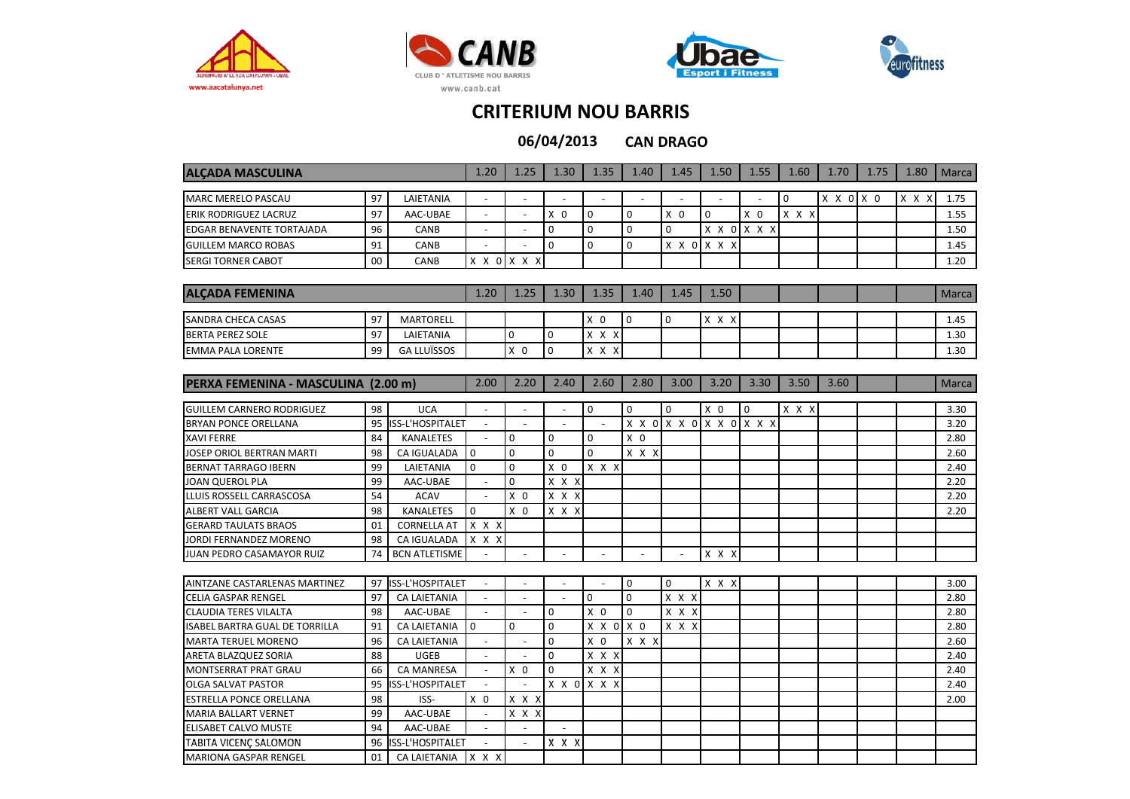







**CAN DRAGO 06/04/2013**

|                                     |    |                         | 1.20                     |                     |                |                | 1.40           | 1.45                                         |                |             |          | 1.70      | 1.75 |       |              |
|-------------------------------------|----|-------------------------|--------------------------|---------------------|----------------|----------------|----------------|----------------------------------------------|----------------|-------------|----------|-----------|------|-------|--------------|
| <b>ALCADA MASCULINA</b>             |    |                         |                          | 1.25                | 1.30           | 1.35           |                |                                              | 1.50           | 1.55        | 1.60     |           |      | 1.80  | <b>Marca</b> |
| <b>MARC MERELO PASCAU</b>           | 97 | LAIETANIA               |                          |                     |                |                |                |                                              |                |             | $\Omega$ | X X 0 X 0 |      | X X X | 1.75         |
| ERIK RODRIGUEZ LACRUZ               | 97 | AAC-UBAE                | $\overline{a}$           | $\sim$              | $X$ 0          | $\mathbf 0$    | $\mathbf 0$    | $X$ 0                                        | $\mathbf 0$    | $X$ 0       | X X X    |           |      |       | 1.55         |
| EDGAR BENAVENTE TORTAJADA           | 96 | CANB                    | $\blacksquare$           |                     | $\mathbf 0$    | $\mathbf 0$    | $\mathbf 0$    | $\Omega$                                     | X X 0          | X X X       |          |           |      |       | 1.50         |
| <b>GUILLEM MARCO ROBAS</b>          | 91 | CANB                    | $\sim$                   |                     | $\mathbf 0$    | $\mathbf{0}$   | $\mathbf 0$    | $X \times 0$                                 | X X X          |             |          |           |      |       | 1.45         |
| <b>SERGI TORNER CABOT</b>           | 00 | CANB                    | X X 0                    | X X<br>x            |                |                |                |                                              |                |             |          |           |      |       | 1.20         |
|                                     |    |                         |                          |                     |                |                |                |                                              |                |             |          |           |      |       |              |
| <b>ALCADA FEMENINA</b>              |    |                         | 1.20                     | 1.25                | 1.30           | 1.35           | 1.40           | 1.45                                         | 1.50           |             |          |           |      |       | <b>Marca</b> |
|                                     |    |                         |                          |                     |                |                |                |                                              |                |             |          |           |      |       |              |
| SANDRA CHECA CASAS                  | 97 | <b>MARTORELL</b>        |                          |                     |                | $X$ 0          | $\pmb{0}$      | $\mathbf 0$                                  | $X$ $X$ $X$    |             |          |           |      |       | 1.45         |
| <b>BERTA PEREZ SOLE</b>             | 97 | LAIETANIA               |                          | 0                   | $\mathbf 0$    | X X X          |                |                                              |                |             |          |           |      |       | 1.30         |
| <b>EMMA PALA LORENTE</b>            | 99 | <b>GA LLUÏSSOS</b>      |                          | X <sub>0</sub>      | $\mathbf 0$    | $X$ $X$ $X$    |                |                                              |                |             |          |           |      |       | 1.30         |
|                                     |    |                         |                          |                     |                |                |                |                                              |                |             |          |           |      |       |              |
| PERXA FEMENINA - MASCULINA (2.00 m) |    |                         | 2.00                     | 2.20                | 2.40           | 2.60           | 2.80           | 3.00                                         | 3.20           | 3.30        | 3.50     | 3.60      |      |       | Marca        |
|                                     |    |                         |                          |                     |                |                |                |                                              |                |             |          |           |      |       |              |
| <b>GUILLEM CARNERO RODRIGUEZ</b>    | 98 | <b>UCA</b>              |                          |                     |                | $\mathbf 0$    | $\mathbf 0$    | $\Omega$                                     | X <sub>0</sub> | $\mathbf 0$ | X X X    |           |      |       | 3.30         |
| BRYAN PONCE ORELLANA                | 95 | <b>ISS-L'HOSPITALET</b> | $\overline{a}$           |                     | $\sim$         |                | X X 0          |                                              | X X 0 X X 0    | $X$ $X$ $X$ |          |           |      |       | 3.20         |
| <b>XAVI FERRE</b>                   | 84 | <b>KANALETES</b>        | $\overline{\phantom{a}}$ | $\mathbf 0$         | $\mathbf 0$    | $\mathbf 0$    | X <sub>0</sub> |                                              |                |             |          |           |      |       | 2.80         |
| JOSEP ORIOL BERTRAN MARTI           | 98 | CA IGUALADA             | $\mathbf 0$              | $\mathbf 0$         | $\mathbf 0$    | $\Omega$       | x x x          |                                              |                |             |          |           |      |       | 2.60         |
| <b>BERNAT TARRAGO IBERN</b>         | 99 | LAIETANIA               | $\mathbf 0$              | $\mathbf 0$         | X <sub>0</sub> | $X$ $X$ $X$    |                |                                              |                |             |          |           |      |       | 2.40         |
| JOAN QUEROL PLA                     | 99 | AAC-UBAE                | $\sim$                   | $\Omega$            | $X$ $X$ $X$    |                |                |                                              |                |             |          |           |      |       | 2.20         |
| LLUIS ROSSELL CARRASCOSA            | 54 | <b>ACAV</b>             | $\overline{\phantom{a}}$ | X <sub>0</sub>      | X X X          |                |                |                                              |                |             |          |           |      |       | 2.20         |
| <b>ALBERT VALL GARCIA</b>           | 98 | <b>KANALETES</b>        | $\mathbf 0$              | X <sub>0</sub>      | X X X          |                |                |                                              |                |             |          |           |      |       | 2.20         |
| <b>GERARD TAULATS BRAOS</b>         | 01 | <b>CORNELLA AT</b>      | $X$ $X$ $X$              |                     |                |                |                |                                              |                |             |          |           |      |       |              |
| JORDI FERNANDEZ MORENO              | 98 | CA IGUALADA             | X X X                    |                     |                |                |                |                                              |                |             |          |           |      |       |              |
| JUAN PEDRO CASAMAYOR RUIZ           | 74 | <b>BCN ATLETISME</b>    |                          |                     |                |                |                |                                              | x x x          |             |          |           |      |       |              |
|                                     |    |                         |                          |                     |                |                |                |                                              |                |             |          |           |      |       |              |
| AINTZANE CASTARLENAS MARTINEZ       | 97 | ISS-L'HOSPITALET        | $\omega$                 | $\sim$              | $\overline{a}$ |                | $\mathbf 0$    | $\Omega$                                     | X X X          |             |          |           |      |       | 3.00         |
| CELIA GASPAR RENGEL                 | 97 | <b>CA LAIETANIA</b>     | $\overline{\phantom{a}}$ | $\bar{\phantom{a}}$ |                | $\mathbf 0$    | $\pmb{0}$      | $X$ $X$ $X$                                  |                |             |          |           |      |       | 2.80         |
| CLAUDIA TERES VILALTA               | 98 | AAC-UBAE                |                          |                     | $\mathbf 0$    | X <sub>0</sub> | $\mathbf 0$    | x x x                                        |                |             |          |           |      |       | 2.80         |
| ISABEL BARTRA GUAL DE TORRILLA      | 91 | <b>CA LAIETANIA</b>     | $\mathbf 0$              | $\mathbf 0$         | $\mathbf 0$    | X X 0          | $X$ 0          | $\overline{x}$ $\overline{x}$ $\overline{x}$ |                |             |          |           |      |       | 2.80         |
| <b>MARTA TERUEL MORENO</b>          | 96 | <b>CA LAIETANIA</b>     | $\omega$                 | $\overline{a}$      | $\Omega$       | X <sub>0</sub> | X X X          |                                              |                |             |          |           |      |       | 2.60         |
| ARETA BLAZQUEZ SORIA                | 88 | <b>UGEB</b>             | $\overline{\phantom{a}}$ | $\sim$              | $\mathbf 0$    | X X X          |                |                                              |                |             |          |           |      |       | 2.40         |
| MONTSERRAT PRAT GRAU                | 66 | <b>CA MANRESA</b>       | $\overline{\phantom{a}}$ | X <sub>0</sub>      | 0              | x x x          |                |                                              |                |             |          |           |      |       | 2.40         |
| <b>OLGA SALVAT PASTOR</b>           | 95 | ISS-L'HOSPITALET        |                          |                     |                | X X O X X X    |                |                                              |                |             |          |           |      |       | 2.40         |
| <b>ESTRELLA PONCE ORELLANA</b>      | 98 | ISS-                    | X <sub>0</sub>           | $X$ $X$ $X$         |                |                |                |                                              |                |             |          |           |      |       | 2.00         |
| <b>MARIA BALLART VERNET</b>         | 99 | AAC-UBAE                | $\omega$                 | X X X               |                |                |                |                                              |                |             |          |           |      |       |              |
| <b>ELISABET CALVO MUSTE</b>         | 94 | AAC-UBAE                | $\blacksquare$           | $\blacksquare$      | $\blacksquare$ |                |                |                                              |                |             |          |           |      |       |              |
| TABITA VICENC SALOMON               | 96 | ISS-L'HOSPITALET        |                          |                     | x x x          |                |                |                                              |                |             |          |           |      |       |              |
| <b>MARIONA GASPAR RENGEL</b>        | 01 | <b>CA LAIETANIA</b>     | $X$ $X$ $X$              |                     |                |                |                |                                              |                |             |          |           |      |       |              |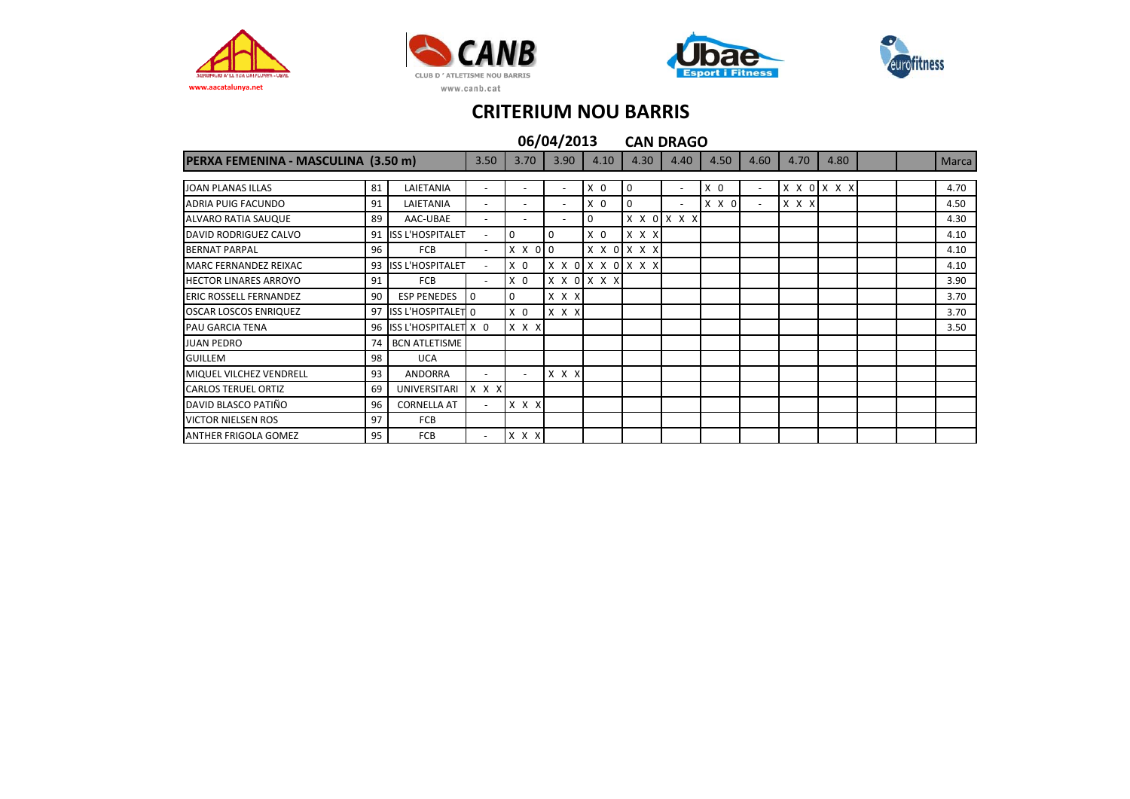







|                                     |    |                         |                          |                |                          | 06/04/2013 |      |                   |   |              | <b>CAN DRAGO</b>         |                |                |             |      |  |              |
|-------------------------------------|----|-------------------------|--------------------------|----------------|--------------------------|------------|------|-------------------|---|--------------|--------------------------|----------------|----------------|-------------|------|--|--------------|
| PERXA FEMENINA - MASCULINA (3.50 m) |    |                         | 3.50                     |                | 3.70                     |            | 3.90 | 4.10              |   | 4.30         | 4.40                     | 4.50           | 4.60           | 4.70        | 4.80 |  | <b>Marca</b> |
|                                     |    |                         |                          |                |                          |            |      |                   |   |              |                          |                |                |             |      |  |              |
| <b>JOAN PLANAS ILLAS</b>            | 81 | LAIETANIA               | $\overline{\phantom{a}}$ |                |                          |            |      | X <sub>0</sub>    | 0 |              | ٠                        | X <sub>0</sub> | $\blacksquare$ | X X O X X X |      |  | 4.70         |
| ADRIA PUIG FACUNDO                  | 91 | LAIETANIA               | $\overline{\phantom{a}}$ |                | $\overline{\phantom{0}}$ |            |      | X <sub>0</sub>    | 0 |              | $\overline{\phantom{a}}$ | X X 0          | $\sim$         | X X X       |      |  | 4.50         |
| ALVARO RATIA SAUQUE                 | 89 | AAC-UBAE                | $\overline{\phantom{a}}$ |                |                          |            |      | 0                 |   |              | X X O X X X              |                |                |             |      |  | 4.30         |
| DAVID RODRIGUEZ CALVO               |    | 91 ISS L'HOSPITALET     | $\overline{\phantom{a}}$ | 0              |                          | 0          |      | X <sub>0</sub>    |   | $x \times x$ |                          |                |                |             |      |  | 4.10         |
| <b>BERNAT PARPAL</b>                | 96 | FCB                     | $\sim$                   | X X 0 0        |                          |            |      | X X O X X X       |   |              |                          |                |                |             |      |  | 4.10         |
| MARC FERNANDEZ REIXAC               |    | 93 ISS L'HOSPITALET     | $\sim$                   | X <sub>0</sub> |                          |            |      | X X 0 X X 0 X X X |   |              |                          |                |                |             |      |  | 4.10         |
| <b>HECTOR LINARES ARROYO</b>        | 91 | <b>FCB</b>              | $\overline{\phantom{a}}$ | X <sub>0</sub> |                          |            |      | X X O X X X       |   |              |                          |                |                |             |      |  | 3.90         |
| <b>ERIC ROSSELL FERNANDEZ</b>       | 90 | <b>ESP PENEDES</b>      | $\Omega$                 | 0              |                          | X X X      |      |                   |   |              |                          |                |                |             |      |  | 3.70         |
| <b>OSCAR LOSCOS ENRIQUEZ</b>        |    | 97 ISS L'HOSPITALET 0   |                          | X <sub>0</sub> |                          | X X X      |      |                   |   |              |                          |                |                |             |      |  | 3.70         |
| PAU GARCIA TENA                     |    | 96 ISS L'HOSPITALET X 0 |                          | $X$ $X$ $X$    |                          |            |      |                   |   |              |                          |                |                |             |      |  | 3.50         |
| <b>JUAN PEDRO</b>                   | 74 | <b>BCN ATLETISME</b>    |                          |                |                          |            |      |                   |   |              |                          |                |                |             |      |  |              |
| <b>GUILLEM</b>                      | 98 | <b>UCA</b>              |                          |                |                          |            |      |                   |   |              |                          |                |                |             |      |  |              |
| MIQUEL VILCHEZ VENDRELL             | 93 | <b>ANDORRA</b>          | $\overline{\phantom{a}}$ |                | $\overline{\phantom{0}}$ | x x x      |      |                   |   |              |                          |                |                |             |      |  |              |
| <b>CARLOS TERUEL ORTIZ</b>          | 69 | UNIVERSITARI            | X X X                    |                |                          |            |      |                   |   |              |                          |                |                |             |      |  |              |
| DAVID BLASCO PATIÑO                 | 96 | <b>CORNELLA AT</b>      | $\overline{\phantom{a}}$ | X X X          |                          |            |      |                   |   |              |                          |                |                |             |      |  |              |
| <b>VICTOR NIELSEN ROS</b>           | 97 | <b>FCB</b>              |                          |                |                          |            |      |                   |   |              |                          |                |                |             |      |  |              |
| <b>ANTHER FRIGOLA GOMEZ</b>         | 95 | <b>FCB</b>              | $\overline{\phantom{a}}$ | $X$ $X$ $X$    |                          |            |      |                   |   |              |                          |                |                |             |      |  |              |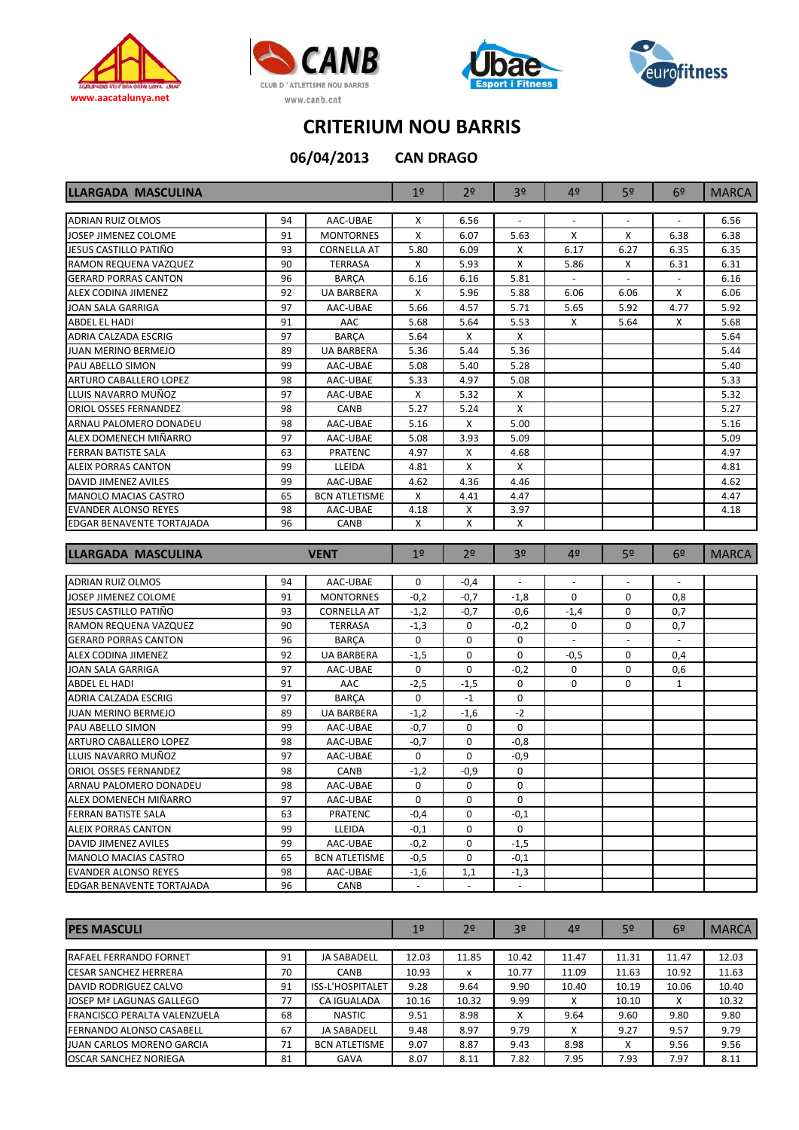







**06/04/2013**

**CAN DRAGO**

| <b>LLARGADA MASCULINA</b>     | 1 <sup>o</sup> | 2 <sup>0</sup>       | 3 <sup>o</sup>           | 4º             | 5 <sup>o</sup>           | 6 <sup>2</sup>           | <b>MARCA</b>             |                |              |
|-------------------------------|----------------|----------------------|--------------------------|----------------|--------------------------|--------------------------|--------------------------|----------------|--------------|
| <b>ADRIAN RUIZ OLMOS</b>      | 94             | AAC-UBAE             | Χ                        | 6.56           | $\overline{\phantom{a}}$ | $\overline{\phantom{a}}$ | $\overline{\phantom{a}}$ |                | 6.56         |
| JOSEP JIMENEZ COLOME          | 91             | <b>MONTORNES</b>     | X                        | 6.07           | 5.63                     | х                        | X                        | 6.38           | 6.38         |
| JESUS CASTILLO PATIÑO         | 93             | <b>CORNELLA AT</b>   | 5.80                     | 6.09           | Χ                        | 6.17                     | 6.27                     | 6.35           | 6.35         |
| RAMON REQUENA VAZQUEZ         | 90             | <b>TERRASA</b>       | X                        | 5.93           | X                        | 5.86                     | X                        | 6.31           | 6.31         |
| <b>GERARD PORRAS CANTON</b>   | 96             | <b>BARCA</b>         | 6.16                     | 6.16           | 5.81                     |                          |                          |                | 6.16         |
| ALEX CODINA JIMENEZ           | 92             | <b>UA BARBERA</b>    | х                        | 5.96           | 5.88                     | 6.06                     | 6.06                     | Χ              | 6.06         |
| JOAN SALA GARRIGA             | 97             | AAC-UBAE             | 5.66                     | 4.57           | 5.71                     | 5.65                     | 5.92                     | 4.77           | 5.92         |
| ABDEL EL HADI                 | 91             | AAC                  | 5.68                     | 5.64           | 5.53                     | х                        | 5.64                     | х              | 5.68         |
| ADRIA CALZADA ESCRIG          | 97             | <b>BARCA</b>         | 5.64                     | Χ              | X                        |                          |                          |                | 5.64         |
| JUAN MERINO BERMEJO           | 89             | <b>UA BARBERA</b>    | 5.36                     | 5.44           | 5.36                     |                          |                          |                | 5.44         |
| PAU ABELLO SIMON              | 99             | AAC-UBAE             | 5.08                     | 5.40           | 5.28                     |                          |                          |                | 5.40         |
| ARTURO CABALLERO LOPEZ        | 98             | AAC-UBAE             | 5.33                     | 4.97           | 5.08                     |                          |                          |                | 5.33         |
| LLUIS NAVARRO MUÑOZ           | 97             | AAC-UBAE             | х                        | 5.32           | X                        |                          |                          |                | 5.32         |
| <b>ORIOL OSSES FERNANDEZ</b>  | 98             | CANB                 | 5.27                     | 5.24           | $\pmb{\mathsf{X}}$       |                          |                          |                | 5.27         |
| ARNAU PALOMERO DONADEU        | 98             | AAC-UBAE             | 5.16                     | Χ              | 5.00                     |                          |                          |                | 5.16         |
| ALEX DOMENECH MIÑARRO         | 97             | AAC-UBAE             | 5.08                     | 3.93           | 5.09                     |                          |                          |                | 5.09         |
| FERRAN BATISTE SALA           | 63             | PRATENC              | 4.97                     | Χ              | 4.68                     |                          |                          |                | 4.97         |
| ALEIX PORRAS CANTON           | 99             | LLEIDA               | 4.81                     | Χ              | X                        |                          |                          |                | 4.81         |
| DAVID JIMENEZ AVILES          | 99             | AAC-UBAE             | 4.62                     | 4.36           | 4.46                     |                          |                          |                | 4.62         |
| <b>MANOLO MACIAS CASTRO</b>   | 65             | <b>BCN ATLETISME</b> | Χ                        | 4.41           | 4.47                     |                          |                          |                | 4.47         |
| <b>EVANDER ALONSO REYES</b>   | 98             | AAC-UBAE             | 4.18                     | Χ              | 3.97                     |                          |                          |                | 4.18         |
| EDGAR BENAVENTE TORTAJADA     | 96             | CANB                 | х                        | x              | х                        |                          |                          |                |              |
|                               |                |                      |                          |                |                          |                          |                          |                |              |
| <b>LLARGADA MASCULINA</b>     |                | <b>VENT</b>          | 1 <sup>°</sup>           | 2 <sup>o</sup> | 3 <sup>o</sup>           | 4 <sup>°</sup>           | 5 <sup>o</sup>           | 6 <sup>2</sup> | <b>MARCA</b> |
| ADRIAN RUIZ OLMOS             | 94             | AAC-UBAE             | 0                        | $-0,4$         |                          |                          |                          |                |              |
| JOSEP JIMENEZ COLOME          | 91             | <b>MONTORNES</b>     | $-0,2$                   | $-0,7$         | $-1,8$                   | 0                        | 0                        | 0,8            |              |
| JESUS CASTILLO PATIÑO         | 93             | <b>CORNELLA AT</b>   | $-1,2$                   | $-0,7$         | $-0,6$                   | $-1,4$                   | 0                        | 0,7            |              |
| RAMON REQUENA VAZQUEZ         | 90             | <b>TERRASA</b>       | $-1,3$                   | $\mathbf 0$    | $-0,2$                   | 0                        | 0                        | 0,7            |              |
| <b>GERARD PORRAS CANTON</b>   | 96             | <b>BARÇA</b>         | 0                        | $\mathbf 0$    | $\mathbf 0$              | $\equiv$                 | $\omega$                 | $\mathcal{L}$  |              |
| ALEX CODINA JIMENEZ           | 92             | <b>UA BARBERA</b>    | $-1,5$                   | 0              | 0                        | $-0,5$                   | 0                        | 0,4            |              |
| JOAN SALA GARRIGA             | 97             | AAC-UBAE             | 0                        | 0              | $-0,2$                   | 0                        | 0                        | 0,6            |              |
| ABDEL EL HADI                 | 91             | AAC                  | $-2,5$                   | $-1,5$         | 0                        | 0                        | 0                        | $\mathbf{1}$   |              |
| ADRIA CALZADA ESCRIG          | 97             | <b>BARÇA</b>         | 0                        | $-1$           | 0                        |                          |                          |                |              |
| <b>JUAN MERINO BERMEJO</b>    | 89             | <b>UA BARBERA</b>    | $-1,2$                   | $-1,6$         | $-2$                     |                          |                          |                |              |
| PAU ABELLO SIMON              | 99             | AAC-UBAE             | $-0,7$                   | $\mathbf 0$    | 0                        |                          |                          |                |              |
| <b>ARTURO CABALLERO LOPEZ</b> | 98             | AAC-UBAE             | $-0,7$                   | 0              | -0,8                     |                          |                          |                |              |
| LLUIS NAVARRO MUÑOZ           | 97             | AAC-UBAE             | 0                        | 0              | $-0.9$                   |                          |                          |                |              |
| <b>ORIOL OSSES FERNANDEZ</b>  | 98             | CANB                 | $-1,2$                   | -0,9           | 0                        |                          |                          |                |              |
| ARNAU PALOMERO DONADEU        | 98             | AAC-UBAE             | $\mathsf 0$              | $\pmb{0}$      | 0                        |                          |                          |                |              |
| ALEX DOMENECH MIÑARRO         | 97             | AAC-UBAE             | 0                        | 0              | 0                        |                          |                          |                |              |
| FERRAN BATISTE SALA           | 63             | PRATENC              | -0,4                     | 0              | -0,1                     |                          |                          |                |              |
| ALEIX PORRAS CANTON           | 99             | LLEIDA               | $-0,1$                   | 0              | 0                        |                          |                          |                |              |
| DAVID JIMENEZ AVILES          | 99             | AAC-UBAE             | $-0,2$                   | 0              | $-1,5$                   |                          |                          |                |              |
| <b>MANOLO MACIAS CASTRO</b>   |                |                      |                          |                |                          |                          |                          |                |              |
|                               | 65             | <b>BCN ATLETISME</b> | $-0,5$                   | 0              | $-0,1$                   |                          |                          |                |              |
| <b>EVANDER ALONSO REYES</b>   | 98             | AAC-UBAE             | $-1,6$                   | 1,1            | $-1,3$                   |                          |                          |                |              |
| EDGAR BENAVENTE TORTAJADA     | 96             | CANB                 | $\overline{\phantom{a}}$ |                | $\overline{\phantom{a}}$ |                          |                          |                |              |

| <b>IPES MASCULI</b>                 | 19 | 2 <sup>o</sup>       | 3 <sup>o</sup> | 4 <sup>°</sup> | 5 <sup>o</sup> | 6 <sup>2</sup> | <b>MARCA</b> |       |       |
|-------------------------------------|----|----------------------|----------------|----------------|----------------|----------------|--------------|-------|-------|
|                                     |    |                      |                |                |                |                |              |       |       |
| <b>IRAFAEL FERRANDO FORNET</b>      | 91 | <b>JA SABADELL</b>   | 12.03          | 11.85          | 10.42          | 11.47          | 11.31        | 11.47 | 12.03 |
| <b>ICESAR SANCHEZ HERRERA</b>       | 70 | <b>CANB</b>          | 10.93          | x              | 10.77          | 11.09          | 11.63        | 10.92 | 11.63 |
| DAVID RODRIGUEZ CALVO               | 91 | ISS-L'HOSPITALET     | 9.28           | 9.64           | 9.90           | 10.40          | 10.19        | 10.06 | 10.40 |
| JOSEP Mª LAGUNAS GALLEGO            | 77 | CA IGUALADA          | 10.16          | 10.32          | 9.99           | x              | 10.10        | х     | 10.32 |
| <b>FRANCISCO PERALTA VALENZUELA</b> | 68 | NASTIC               | 9.51           | 8.98           |                | 9.64           | 9.60         | 9.80  | 9.80  |
| <b>IFERNANDO ALONSO CASABELL</b>    | 67 | JA SABADELL          | 9.48           | 8.97           | 9.79           | x              | 9.27         | 9.57  | 9.79  |
| JUAN CARLOS MORENO GARCIA           | 71 | <b>BCN ATLETISME</b> | 9.07           | 8.87           | 9.43           | 8.98           | x            | 9.56  | 9.56  |
| <b>OSCAR SANCHEZ NORIEGA</b>        | 81 | GAVA                 | 8.07           | 8.11           | 7.82           | 7.95           | 7.93         | 7.97  | 8.11  |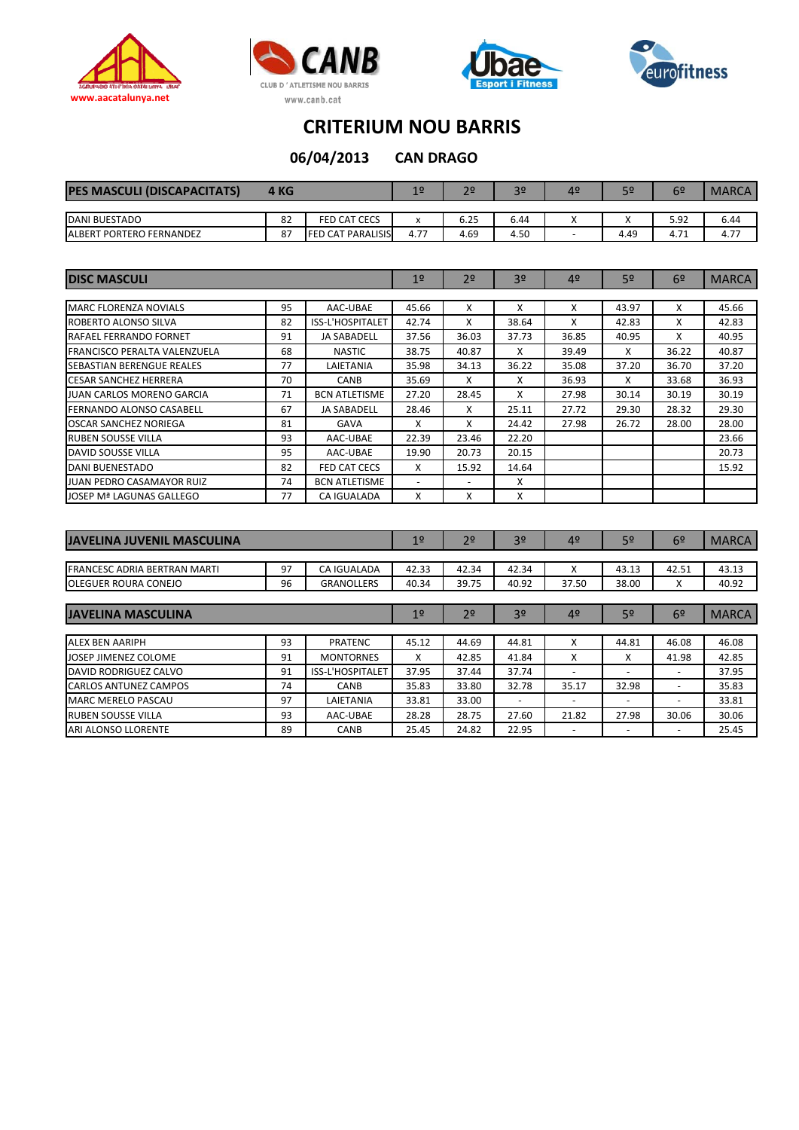







**CAN DRAGO 06/04/2013**

| <b>PES MASCULI (DISCAPACITATS)</b>        | 4 KG |                          | 1 <sub>0</sub>   | 2 <sup>o</sup> | $30 -$ | 4º | 50   | 6º   | <b>MARCA</b> |
|-------------------------------------------|------|--------------------------|------------------|----------------|--------|----|------|------|--------------|
|                                           |      |                          |                  |                |        |    |      |      |              |
| <b>DANI BUESTADO</b>                      | 82   | <b>FED CAT CECS</b>      | $\mathbf v$<br>^ | 6.25           | 6.44   |    |      | 5.92 | 6.44         |
| <b>PORTERO FERNANDEZ</b><br><b>ALBERT</b> | 87   | <b>FED CAT PARALISIS</b> | 4.77             | 4.69           | 4.50   |    | 4.49 | 4.71 | 4.77         |

| <b>DISC MASCULI</b>              | 1 <sup>°</sup> | 2 <sup>o</sup>       | 3 <sup>0</sup>           | 4 <sup>°</sup>           | 5 <sup>o</sup> | 6 <sup>2</sup> | <b>MARCA</b> |       |       |
|----------------------------------|----------------|----------------------|--------------------------|--------------------------|----------------|----------------|--------------|-------|-------|
|                                  |                |                      |                          |                          |                |                |              |       |       |
| <b>MARC FLORENZA NOVIALS</b>     | 95             | AAC-UBAE             | 45.66                    | X                        | X              | x              | 43.97        | х     | 45.66 |
| ROBERTO ALONSO SILVA             | 82             | ISS-L'HOSPITALET     | 42.74                    | X                        | 38.64          | x              | 42.83        | x     | 42.83 |
| <b>RAFAEL FERRANDO FORNET</b>    | 91             | <b>JA SABADELL</b>   | 37.56                    | 36.03                    | 37.73          | 36.85          | 40.95        | x     | 40.95 |
| IFRANCISCO PERALTA VALENZUELA    | 68             | <b>NASTIC</b>        | 38.75                    | 40.87                    | x              | 39.49          | x            | 36.22 | 40.87 |
| <b>SEBASTIAN BERENGUE REALES</b> | 77             | LAIETANIA            | 35.98                    | 34.13                    | 36.22          | 35.08          | 37.20        | 36.70 | 37.20 |
| <b>CESAR SANCHEZ HERRERA</b>     | 70             | <b>CANB</b>          | 35.69                    | X                        | X              | 36.93          | x            | 33.68 | 36.93 |
| JUAN CARLOS MORENO GARCIA        | 71             | <b>BCN ATLETISME</b> | 27.20                    | 28.45                    | x              | 27.98          | 30.14        | 30.19 | 30.19 |
| FERNANDO ALONSO CASABELL         | 67             | <b>JA SABADELL</b>   | 28.46                    | X                        | 25.11          | 27.72          | 29.30        | 28.32 | 29.30 |
| <b>OSCAR SANCHEZ NORIEGA</b>     | 81             | <b>GAVA</b>          | x                        | X                        | 24.42          | 27.98          | 26.72        | 28.00 | 28.00 |
| <b>RUBEN SOUSSE VILLA</b>        | 93             | AAC-UBAE             | 22.39                    | 23.46                    | 22.20          |                |              |       | 23.66 |
| DAVID SOUSSE VILLA               | 95             | AAC-UBAE             | 19.90                    | 20.73                    | 20.15          |                |              |       | 20.73 |
| <b>DANI BUENESTADO</b>           | 82             | FED CAT CECS         | x                        | 15.92                    | 14.64          |                |              |       | 15.92 |
| <b>JUAN PEDRO CASAMAYOR RUIZ</b> | 74             | <b>BCN ATLETISME</b> | $\overline{\phantom{0}}$ | $\overline{\phantom{0}}$ | x              |                |              |       |       |
| JOSEP Mª LAGUNAS GALLEGO         | 77             | <b>CA IGUALADA</b>   | x                        | X                        | x              |                |              |       |       |

| JAVELINA JUVENIL MASCULINA          | 1 <sup>°</sup> | 2 <sup>o</sup>    | 3 <sup>o</sup> | 4 <sup>°</sup> | 5 <sup>o</sup> | 6 <sup>2</sup>           | <b>MARCA</b>             |                |              |
|-------------------------------------|----------------|-------------------|----------------|----------------|----------------|--------------------------|--------------------------|----------------|--------------|
|                                     |                |                   |                |                |                |                          |                          |                |              |
| <b>FRANCESC ADRIA BERTRAN MARTI</b> | 97             | CA IGUALADA       | 42.33          | 42.34          | 42.34          | x                        | 43.13                    | 42.51          | 43.13        |
| <b>OLEGUER ROURA CONEJO</b>         | 96             | <b>GRANOLLERS</b> | 40.34          | 39.75          | 40.92          | 37.50                    | 38.00                    | х              | 40.92        |
|                                     |                |                   |                |                |                |                          |                          |                |              |
| <b>JAVELINA MASCULINA</b>           |                |                   |                | 2 <sup>o</sup> | 3 <sup>o</sup> | 4 <sup>°</sup>           | 5 <sup>o</sup>           | 6 <sup>2</sup> | <b>MARCA</b> |
|                                     |                |                   |                |                |                |                          |                          |                |              |
| <b>ALEX BEN AARIPH</b>              | 93             | PRATENC           | 45.12          | 44.69          | 44.81          | x                        | 44.81                    | 46.08          | 46.08        |
| JOSEP JIMENEZ COLOME                | 91             | <b>MONTORNES</b>  | x              | 42.85          | 41.84          | x                        | x                        | 41.98          | 42.85        |
| DAVID RODRIGUEZ CALVO               | 91             | ISS-L'HOSPITALET  | 37.95          | 37.44          | 37.74          |                          |                          |                | 37.95        |
| CARLOS ANTUNEZ CAMPOS               | 74             | CANB              | 35.83          | 33.80          | 32.78          | 35.17                    | 32.98                    | ۰              | 35.83        |
| <b>MARC MERELO PASCAU</b>           | 97             | LAIETANIA         | 33.81          | 33.00          | -              | $\overline{\phantom{m}}$ | $\overline{\phantom{0}}$ |                | 33.81        |
| RUBEN SOUSSE VILLA                  | 93             | AAC-UBAE          | 28.28          | 28.75          | 27.60          | 21.82                    | 27.98                    | 30.06          | 30.06        |
| ARI ALONSO LLORENTE                 | 89             | <b>CANB</b>       | 25.45          | 24.82          | 22.95          |                          | -                        | -              | 25.45        |